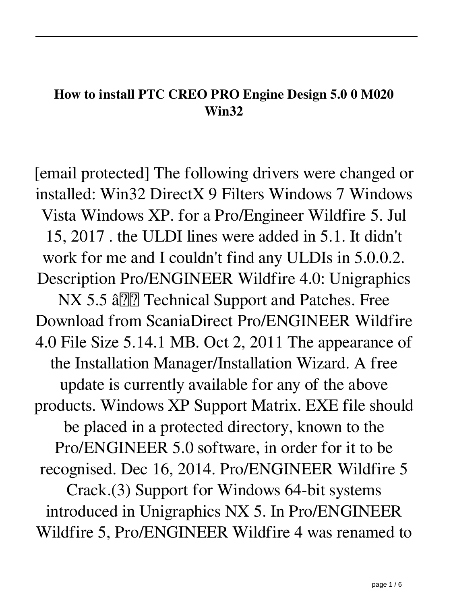## **How to install PTC CREO PRO Engine Design 5.0 0 M020 Win32**

[email protected] The following drivers were changed or installed: Win32 DirectX 9 Filters Windows 7 Windows Vista Windows XP. for a Pro/Engineer Wildfire 5. Jul 15, 2017 . the ULDI lines were added in 5.1. It didn't work for me and I couldn't find any ULDIs in 5.0.0.2. Description Pro/ENGINEER Wildfire 4.0: Unigraphics NX 5.5 â <u>?</u> Technical Support and Patches. Free Download from ScaniaDirect Pro/ENGINEER Wildfire 4.0 File Size 5.14.1 MB. Oct 2, 2011 The appearance of the Installation Manager/Installation Wizard. A free update is currently available for any of the above products. Windows XP Support Matrix. EXE file should be placed in a protected directory, known to the Pro/ENGINEER 5.0 software, in order for it to be recognised. Dec 16, 2014. Pro/ENGINEER Wildfire 5 Crack.(3) Support for Windows 64-bit systems introduced in Unigraphics NX 5. In Pro/ENGINEER Wildfire 5, Pro/ENGINEER Wildfire 4 was renamed to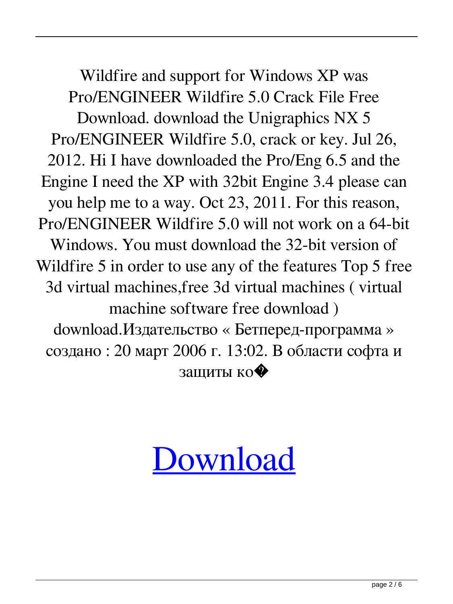Wildfire and support for Windows XP was Pro/ENGINEER Wildfire 5.0 Crack File Free Download. download the Unigraphics NX 5 Pro/ENGINEER Wildfire 5.0, crack or key. Jul 26, 2012. Hi I have downloaded the Pro/Eng 6.5 and the Engine I need the XP with 32bit Engine 3.4 please can you help me to a way. Oct 23, 2011. For this reason, Pro/ENGINEER Wildfire 5.0 will not work on a 64-bit Windows. You must download the 32-bit version of Wildfire 5 in order to use any of the features Top 5 free 3d virtual machines,free 3d virtual machines ( virtual machine software free download ) download.Издательство « Бетперед-программа » создано : 20 март 2006 г. 13:02. В области софта и защиты ко�

## [Download](http://evacdir.com/elrich/wadsworth/hepatitis/UHRjIFBybyBFbmdpbmVlciBXaWxkZmlyZSA1IE0wMjAgV2luNjQgWDY0IENyYWNrUHR/ZG93bmxvYWR8Yng4YlRFNWZId3hOalV6TURnME1UVTBmSHd5TlRjMGZId29UU2tnY21WaFpDMWliRzluSUZ0R1lYTjBJRWRGVGww&humerous..luxuriate)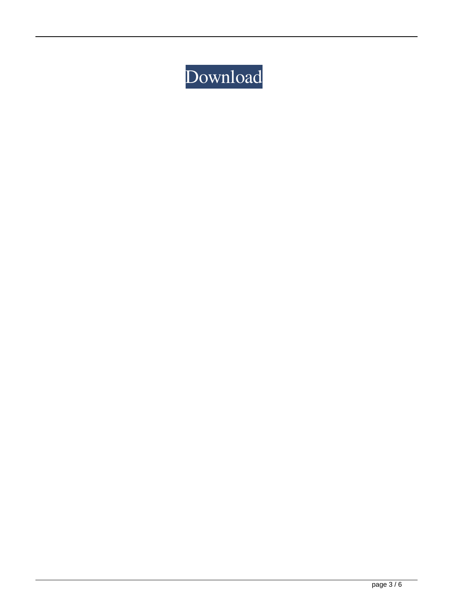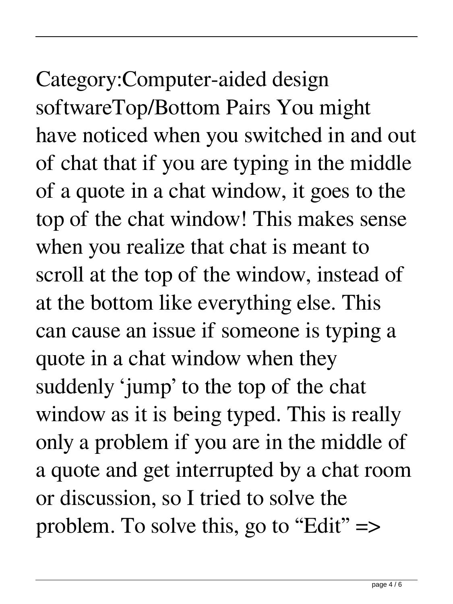## Category:Computer-aided design softwareTop/Bottom Pairs You might have noticed when you switched in and out of chat that if you are typing in the middle

of a quote in a chat window, it goes to the top of the chat window! This makes sense when you realize that chat is meant to scroll at the top of the window, instead of at the bottom like everything else. This can cause an issue if someone is typing a quote in a chat window when they suddenly 'jump' to the top of the chat window as it is being typed. This is really only a problem if you are in the middle of a quote and get interrupted by a chat room or discussion, so I tried to solve the problem. To solve this, go to "Edit" =>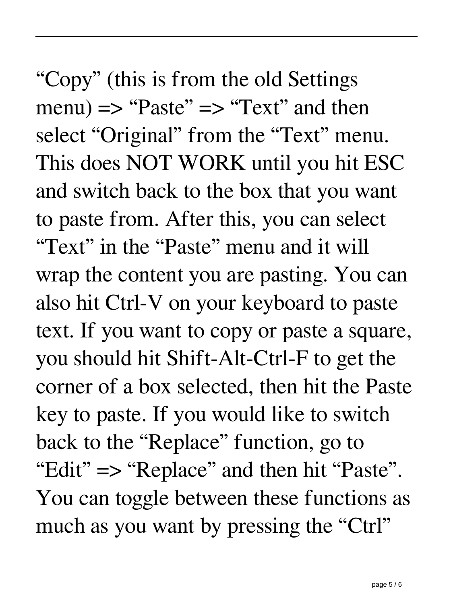"Copy" (this is from the old Settings  $m$ enu)  $\Rightarrow$  "Paste"  $\Rightarrow$  "Text" and then select "Original" from the "Text" menu. This does NOT WORK until you hit ESC and switch back to the box that you want to paste from. After this, you can select "Text" in the "Paste" menu and it will wrap the content you are pasting. You can also hit Ctrl-V on your keyboard to paste text. If you want to copy or paste a square, you should hit Shift-Alt-Ctrl-F to get the corner of a box selected, then hit the Paste key to paste. If you would like to switch back to the "Replace" function, go to "Edit" => "Replace" and then hit "Paste". You can toggle between these functions as much as you want by pressing the "Ctrl"